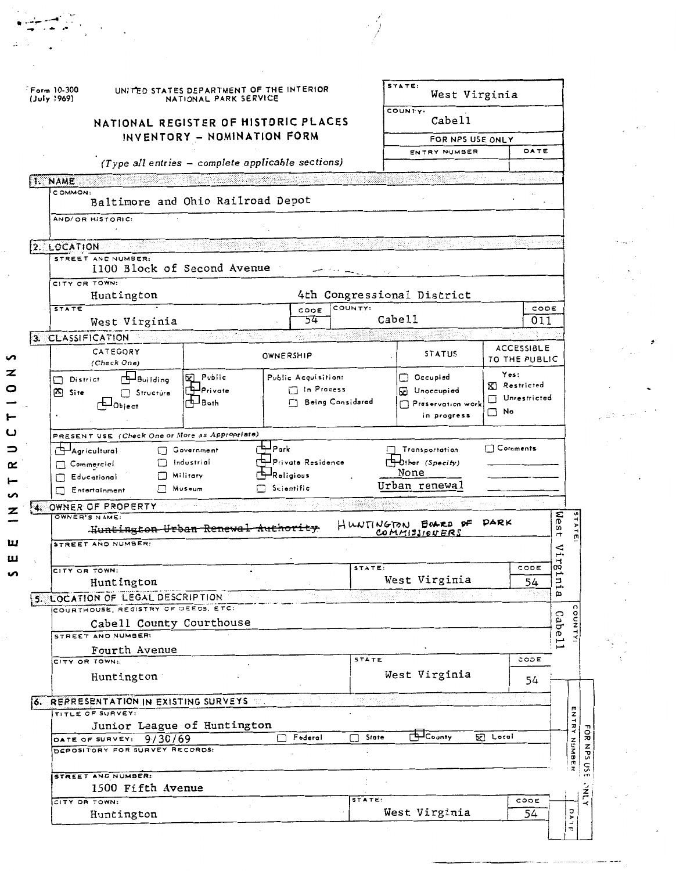|  | UNITED STATES DEPARTMENT OF THE INTERIOR<br>$F_{\text{orm}}$ 10-300<br>(July 1969)<br>NATIONAL PARK SERVICE<br>NATIONAL REGISTER OF HISTORIC PLACES |                                                                                                                          |                                                    |                         | STATE:<br>West Virginia                          |                            |                             |                   |                    |                                           |
|--|-----------------------------------------------------------------------------------------------------------------------------------------------------|--------------------------------------------------------------------------------------------------------------------------|----------------------------------------------------|-------------------------|--------------------------------------------------|----------------------------|-----------------------------|-------------------|--------------------|-------------------------------------------|
|  |                                                                                                                                                     |                                                                                                                          |                                                    |                         | COUNTY:<br>Cabell<br>FOR NPS USE ONLY            |                            |                             |                   |                    |                                           |
|  | INVENTORY - NOMINATION FORM                                                                                                                         |                                                                                                                          |                                                    |                         |                                                  |                            |                             |                   |                    |                                           |
|  |                                                                                                                                                     |                                                                                                                          |                                                    |                         |                                                  | DATE<br>ENTRY NUMBER       |                             |                   |                    |                                           |
|  | (Type all entries - complete applicable sections)                                                                                                   |                                                                                                                          |                                                    |                         |                                                  |                            |                             |                   |                    |                                           |
|  | The situation of the state of the state of the state of the state of the state of the state of the state of th<br>Wis under<br>I. NAME              |                                                                                                                          |                                                    |                         |                                                  |                            |                             |                   |                    |                                           |
|  | COMMON:<br>Baltimore and Ohio Railroad Depot                                                                                                        |                                                                                                                          |                                                    |                         |                                                  |                            |                             |                   |                    |                                           |
|  | AND/OR HISTORIC:                                                                                                                                    |                                                                                                                          |                                                    |                         |                                                  |                            |                             |                   |                    |                                           |
|  | 1940년 - 2019 대회사가 최상 전화 사용.<br>[2.10CATION]                                                                                                         |                                                                                                                          |                                                    |                         |                                                  |                            |                             |                   |                    |                                           |
|  | STREET AND NUMBER:<br>1100 Block of Second Avenue                                                                                                   |                                                                                                                          |                                                    |                         |                                                  |                            |                             |                   |                    |                                           |
|  | CITY OR TOWN:<br>Huntington                                                                                                                         |                                                                                                                          |                                                    |                         |                                                  | 4th Congressional District |                             |                   |                    |                                           |
|  | STATE                                                                                                                                               |                                                                                                                          |                                                    | CODE                    | COUNTY:                                          |                            |                             | CODE              |                    |                                           |
|  | West Virginia                                                                                                                                       |                                                                                                                          |                                                    | 54                      |                                                  | Cabell                     |                             | 011               |                    |                                           |
|  | 3. CLASSIFICATION                                                                                                                                   |                                                                                                                          |                                                    |                         |                                                  |                            |                             | <b>ACCESSIBLE</b> |                    |                                           |
|  | CATEGORY<br>(Check One)                                                                                                                             |                                                                                                                          | OWNERSHIP                                          |                         |                                                  | <b>STATUS</b>              |                             | TO THE PUBLIC     |                    |                                           |
|  | Building<br>District<br>П                                                                                                                           | <b>X</b> Public<br>Public Acquisition:                                                                                   |                                                    |                         |                                                  | $\Box$ Occupied            | Yes:<br><b>X</b> Restricted |                   |                    |                                           |
|  | Structure<br>رجح<br>Site                                                                                                                            | <b>Le</b> rivate                                                                                                         |                                                    | In Process              |                                                  | Unoccupied                 |                             | Unrestricted      |                    |                                           |
|  | HObject                                                                                                                                             | † Both                                                                                                                   |                                                    | <b>Being Considered</b> | Preservation work<br>$\square$ No<br>in progress |                            |                             |                   |                    |                                           |
|  |                                                                                                                                                     |                                                                                                                          |                                                    |                         |                                                  |                            |                             |                   |                    |                                           |
|  | Agricultural                                                                                                                                        | PRESENT USE (Check One or More as Appropriate)<br>r≒lp <sub>ark</sub><br>$\Box$ Comments<br>Transportation<br>Government |                                                    |                         |                                                  |                            |                             |                   |                    |                                           |
|  | Commercial                                                                                                                                          | Industrial                                                                                                               | <b>Private Residence</b><br><b>bther</b> (Specify) |                         |                                                  |                            |                             |                   |                    |                                           |
|  | Educational                                                                                                                                         | Military                                                                                                                 | <b>T</b> HReligious                                |                         |                                                  | None                       |                             |                   |                    |                                           |
|  | Entertainment                                                                                                                                       | □ Museum                                                                                                                 | Scientific                                         |                         |                                                  | Urban renewal              |                             |                   |                    |                                           |
|  | 4. OWNER OF PROPERTY                                                                                                                                |                                                                                                                          |                                                    |                         |                                                  |                            |                             |                   |                    |                                           |
|  | OWNER'S NAME:<br>Huntington Urban Renewal Authority                                                                                                 |                                                                                                                          |                                                    |                         |                                                  | HUNTINGTON BOARD OF        | PARK                        |                   | Wes                |                                           |
|  |                                                                                                                                                     |                                                                                                                          |                                                    |                         |                                                  | COMMISSIONERS              |                             |                   | щ                  | ATE:                                      |
|  |                                                                                                                                                     |                                                                                                                          |                                                    |                         |                                                  |                            |                             |                   | Vir                |                                           |
|  | STREET AND NUMBER:                                                                                                                                  |                                                                                                                          |                                                    |                         |                                                  |                            |                             |                   |                    |                                           |
|  | CITY OR TOWN:                                                                                                                                       |                                                                                                                          |                                                    |                         | STATE:                                           |                            |                             | CODE              | ęż.                |                                           |
|  | Huntington                                                                                                                                          |                                                                                                                          |                                                    |                         |                                                  | West Virginia              |                             | 54                | ŗu.                |                                           |
|  | 5. LOCATION OF LEGAL DESCRIPTION                                                                                                                    |                                                                                                                          |                                                    |                         |                                                  |                            |                             |                   | $\mathbf{a}$       |                                           |
|  | COURTHOUSE, REGISTRY OF DEEDS, ETC.                                                                                                                 |                                                                                                                          |                                                    |                         |                                                  |                            |                             |                   |                    |                                           |
|  | Cabell County Courthouse<br>STREET AND NUMBER:                                                                                                      |                                                                                                                          |                                                    |                         |                                                  |                            |                             |                   |                    |                                           |
|  | Fourth Avenue                                                                                                                                       |                                                                                                                          |                                                    |                         |                                                  |                            |                             |                   | Cabe <sub>11</sub> | <b>OUNTY:</b>                             |
|  | CITY OR TOWN:                                                                                                                                       |                                                                                                                          |                                                    |                         | STATE                                            |                            |                             | CODE              |                    |                                           |
|  | Huntington                                                                                                                                          |                                                                                                                          |                                                    |                         |                                                  | West Virginia              |                             | 54                |                    |                                           |
|  | 6. REPRESENTATION IN EXISTING SURVEYS                                                                                                               |                                                                                                                          |                                                    |                         | 남편 사람이 좋아하다.                                     |                            | the co                      |                   |                    |                                           |
|  | TITLE OF SURVEY:                                                                                                                                    |                                                                                                                          |                                                    |                         |                                                  |                            |                             |                   |                    |                                           |
|  | Junior League of Huntington                                                                                                                         |                                                                                                                          |                                                    |                         |                                                  |                            |                             |                   |                    |                                           |
|  | DATE OF SURVEY: 9/30/69<br>DEPOSITORY FOR SURVEY RECORDS:                                                                                           |                                                                                                                          |                                                    | Federal                 | State                                            | Ficounty                   | <b>E</b> Local              |                   |                    | FaR                                       |
|  |                                                                                                                                                     |                                                                                                                          |                                                    |                         |                                                  |                            |                             |                   |                    | <b>APS</b>                                |
|  | STREET AND NUMBER:                                                                                                                                  |                                                                                                                          |                                                    |                         |                                                  |                            |                             |                   |                    | <b>MZ134 ZCNBM2</b><br>Š<br>$\epsilon$ T) |
|  | 1500 Fifth Avenue<br>CITY OR TOWN:                                                                                                                  |                                                                                                                          |                                                    |                         | STATE:                                           |                            |                             | CODE              |                    | Ź<br>$\prec$                              |

i,

 $\frac{1}{2}$ 

 $\begin{pmatrix} 1 & 1 \\ 1 & 1 \\ 1 & 1 \end{pmatrix}$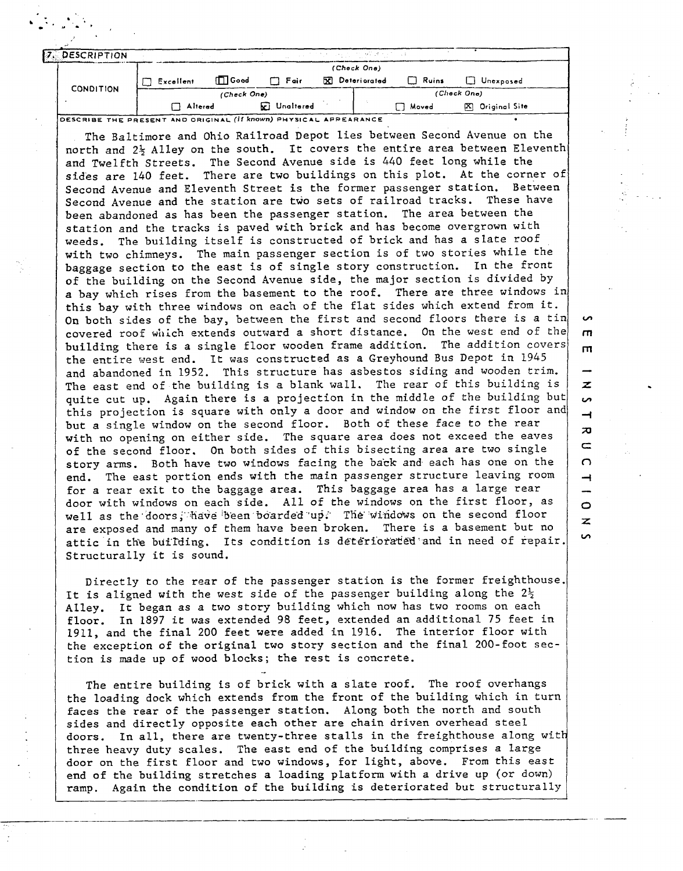| <b>7. DESCRIPTION</b> |                  |                  |                    | オフィッシュ いっしゃ みじゅういちじょ  |              |                   |
|-----------------------|------------------|------------------|--------------------|-----------------------|--------------|-------------------|
|                       |                  |                  |                    | (Check One)           |              |                   |
|                       | $\Box$ Excellent | <b>ITTI</b> Good | $\Box$ Fair        | <b>R</b> Deteriorated | $\Box$ Ruins | Unexposed         |
| <b>CONDITION</b>      |                  | (Check One)      |                    |                       |              | (Check One)       |
|                       | $\Box$ Altered   |                  | <b>E</b> Unattered |                       | □ Moved      | [X] Original Site |

The Baltimore and Ohio Railroad Depot lies between Second Avenue on the north and  $2\frac{1}{2}$  Alley on the south. It covers the entire area between Eleventh and Twelfth Streets. The Second Avenue side is 440 feet long while the sides are 140 feet. There are two buildings on this plot. At the corner of Second Avenue and Eleventh Street is the former passenger station. Between Second Avenue and the station are two sets of railroad tracks. These have been abandoned as has been the passenger station. The area between the station and the tracks is paved with brick and has become overgrown with weeds. The building itself is constructed of brick and has a slate roof with two chimneys. The main passenger section is of two stories while the baggage section to the east is of single story construction. In the front of the building on the Second Avenue side, the major section is divided by a bay which rises from the basement to the roof. There are three windows in this bay with three windows on each of the flat sides which extend from it. On both sides of the bay, between the first and second floors there is a tin covered roof which extends outward a short distance. On the west end of thc building there is a single floor wooden frame addition. The addition covers the entire west end. It was constructed as a Greyhound Bus Depot in 1945 and abandoned in 1952. This structure has asbestos siding and wooden trim. The east end of the building is a blank wall. The rear of this building is quite cut up. Again there is a projection in the middle of the building but this projection is square with only a door and window on the first floor and but a single window on the second floor. Both of these face to the rear with no opening on either side. The square area does not exceed the eaves of the second floor. On both sides of this bisecting area are two single story arms. Both have two windows facing the ba'ck and. each has one on the end. The east portion ends with the main passenger structure leaving room for a rear exit to the baggage area. This baggage area has a large rear door with windows on each side. All of the windows on the first floor, as well as the doors, have been boarded up. The windows on the second floor are exposed and many of them have been broken. There is a basement but no attic in the building. Its condition is deteriorated and in need of repair. Structurally it is sound.

Directly to the rear of the passenger station is the former freighthouse. It is aligned with the west side of the passenger building along the  $2\frac{1}{2}$ Alley. It began as a two story building which now has two rooms on each floor. In 1897 it was extended 98 feet, extended an additional 75 feet in 1911, and the final 200 feet were added in 1916. The interior floor with the exception of the original two story section and the final 200-foot section is made up of wood blocks; the rest is concrete.  $\cdot$ 

The entire building is of brick with a slate roof. The roof overhangs the Loading dock which extends from the front of the building which in turn faces the rear of the passenger station. Along both the north and south sides and directly opposite each other are chain driven overhead steel doors. In all, there are twenty-three stalls in the freighthouse along with three heavy duty scales. The east end of the building comprises a large door on the first floor and two windows, for light, above. From this east end of the building stretches a loading platform with a drive up (or down) ramp. Again the condition of the building is deteriorated but structurally

# $\rightarrow$ カ  $\equiv$  $\Omega$  $\rightarrow$

 $\bullet$  $\overline{z}$ **i** 

 $\overline{a}$  $\mathbf{m}$  $\mathbf{m}$ 

 $\overline{z}$ ς,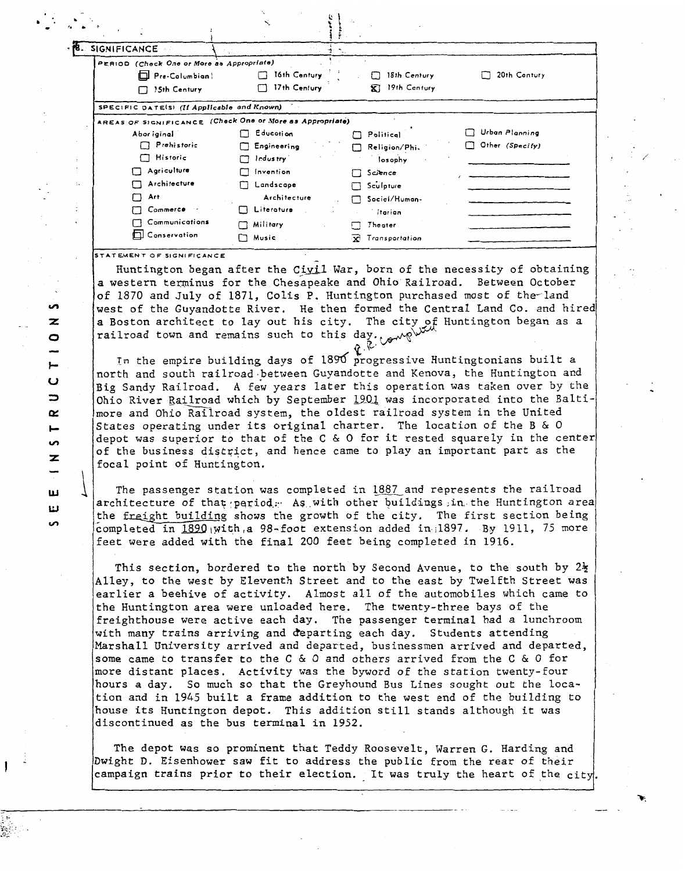| 8. SIGNIFICANCE<br>PERIOD (Check One or More as Appropriate) |                  |                     |                        |
|--------------------------------------------------------------|------------------|---------------------|------------------------|
| Pre-Columbian                                                | 16th Century     | 18th Century        | 20th Century           |
| 15th Century<br>П                                            | 17th Century     | 19th Century<br>xТ  |                        |
| SPECIFIC DATE(S) (If Applicable and Known)                   | n                |                     |                        |
| AREAS OF SIGNIFICANCE (Check One or More as Appropriate)     |                  |                     |                        |
| Abor iginal                                                  | $\Box$ Education | Political           | Urban Planning<br>LΤ   |
| Prehistoric                                                  | Engineering      | Religion/Phi.       | $\Box$ Other (Specify) |
| Historic                                                     | Industry         | losophy             |                        |
| Agriculture                                                  | invention        | $\Box$ Science      |                        |
| Architecture                                                 | Landscape        | $\Box$ Sculpture    |                        |
| Art                                                          | Architecture     | Social/Human-       |                        |
| Commerce                                                     | Literature       | itarian.            |                        |
| Communications                                               | Military         | Theater             |                        |
| <b>Conservation</b>                                          | Music            | Transportation<br>x |                        |

STATEMENT OF SIGNIFICANCE

Huntington began after the Civil War, born of the necessity of obtaining a western terminus for the Chesapeake and Ohio Railroad. Between October of 1870 and July of 1871, Colis P. Huntington purchased most of the-land west of the Guyandotte River. He then formed the Central Land Co. and hired a Boston architect to lay out his city. The city of Huntington began as a railroad town and remains such to this day.

In the empire building days of 1890 progressive Huntingtonians built a north and south railroad between Guyandotte and Kenova, the Huntington and Big Sandy Railroad. A few years later this operation was taken over by the Ohio River Railroad which by September 1901 was incorporated into the Baltimore and Ohio Railroad system, the oldest railroad system in the United States operating under its original charter. The location of the B & O depot was superior to that of the C & O for it rested squarely in the center of the business district, and hence came to play an important part as the focal point of Huntington.

The passenger station was completed in 1887 and represents the railroad architecture of that period. As with other buildings in the Huntington area the freight building shows the growth of the city. The first section being completed in 1890 with, a 98-foot extension added in 1897. By 1911, 75 more feet were added with the final 200 feet being completed in 1916.

This section, bordered to the north by Second Avenue, to the south by  $2\frac{1}{2}$ Alley, to the west by Eleventh Street and to the east by Twelfth Street was earlier a beehive of activity. Almost all of the automobiles which came to the Huntington area were unloaded here. The twenty-three bays of the freighthouse were active each day. The passenger terminal had a lunchroom with many trains arriving and departing each day. Students attending Marshall University arrived and departed, businessmen arrived and departed, some came to transfer to the C & O and others arrived from the C & O for more distant places. Activity was the byword of the station twenty-four hours a day. So much so that the Greyhound Bus Lines sought out the location and in 1945 built a frame addition to the west end of the building to house its Huntington depot. This addition still stands although it was discontinued as the bus terminal in 1952.

The depot was so prominent that Teddy Roosevelt, Warren G. Harding and Dwight D. Eisenhower saw fit to address the public from the rear of their campaign trains prior to their election. It was truly the heart of the city.

 $\bullet$  $\mathbf{z}$ O  $\vdash$  $\mathbf C$  $\Rightarrow$  $\alpha$  $\vdash$ ഗ  $\overline{\mathbf{z}}$ ш Ш

 $\overline{a}$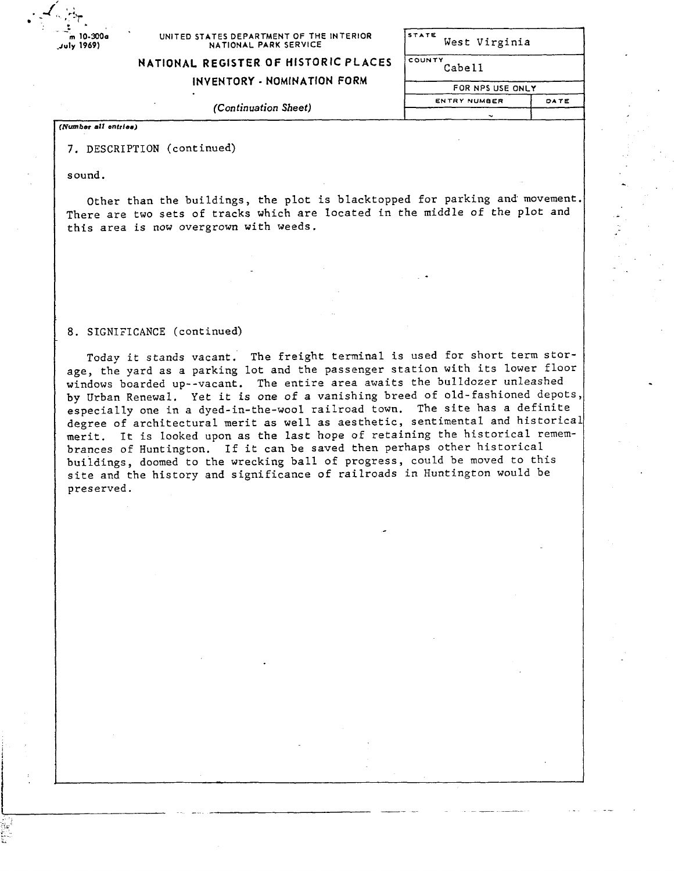

**NATIONAL REGISTER OF HISTORIC PLACES** 

#### **STATE**  West Virginia

**FOR NPS USE ONLY ENTRY NUMBER** I **DATE** 

**COUNTY**  Cabell

### **INVENTORY** - **NOMlNATlON FORM**

(Continuation *Sheet)* 

*'Number* **all entriam)** 

7. DESCRIPTION (continued)

sound .

Other than the buildings, the plot is blacktopped for parking and movement. There are two sets of tracks which are located in the middle of the plot and this area is now overgrown with weeds.

#### 8. SIGNIFICANCE (continued)

Today it stands vacant. The freight terminal is used for short term storage, the yard as a parking lot and the passenger station with its lower floor windows boarded up--vacant. The entire area awaits the bulldozer unleashed by Urban Renewal, Yet it is one of a vanishing breed of old-fashioned depots especially one in a dyed-in-the-wool railroad town. The site has a definite degree of architectural merit as well as aesthetic, sentimental and historical merit. It is looked upon as the last hope of retaining the historical remembrances of Huntington. If it can be saved then perhaps other historical buildings, doomed to the wrecking ball of progress, could be moved to this site and the history and significance of railroads in Huntington would be preserved.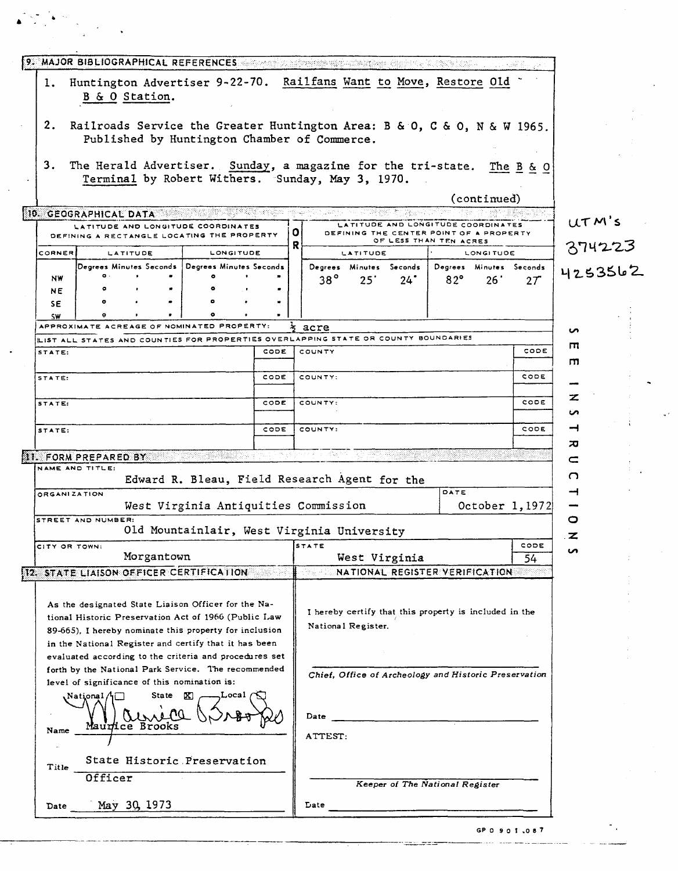|                                                                                                                                                          | <b>9. MAJOR BIBLIOGRAPHICAL REFERENCES Communications and construct of a strategies</b>                                                                                                                                                                                                  |                                               |                                                               |                   |                                         |                |                                                                   |                |                |         |
|----------------------------------------------------------------------------------------------------------------------------------------------------------|------------------------------------------------------------------------------------------------------------------------------------------------------------------------------------------------------------------------------------------------------------------------------------------|-----------------------------------------------|---------------------------------------------------------------|-------------------|-----------------------------------------|----------------|-------------------------------------------------------------------|----------------|----------------|---------|
| 1.                                                                                                                                                       | Huntington Advertiser 9-22-70. Railfans Want to Move, Restore Old                                                                                                                                                                                                                        |                                               |                                                               |                   |                                         |                |                                                                   |                |                |         |
|                                                                                                                                                          | B & O Station.                                                                                                                                                                                                                                                                           |                                               |                                                               |                   |                                         |                |                                                                   |                |                |         |
| 2.                                                                                                                                                       | Railroads Service the Greater Huntington Area: B & O, C & O, N & W 1965.<br>Published by Huntington Chamber of Commerce.                                                                                                                                                                 |                                               |                                                               |                   |                                         |                |                                                                   |                |                |         |
| 3.                                                                                                                                                       | The Herald Advertiser. Sunday, a magazine for the tri-state. The B & O<br>Terminal by Robert Withers. Sunday, May 3, 1970.                                                                                                                                                               |                                               |                                                               |                   |                                         |                |                                                                   |                |                |         |
|                                                                                                                                                          |                                                                                                                                                                                                                                                                                          |                                               |                                                               |                   |                                         |                |                                                                   | (continued)    |                |         |
|                                                                                                                                                          | 10. GEOGRAPHICAL DATA AND STATE AND THE STATE OF THE STATE OF THE STATE OF THE STATE OF THE STATE OF THE STATE<br>LATITUDE AND LONGITUDE COORDINATES                                                                                                                                     |                                               |                                                               |                   |                                         | [1] 사, 뉴스 (10) | LATITUDE AND LONGITUDE COORDINATES                                |                |                | UTM's   |
|                                                                                                                                                          | DEFINING A RECTANGLE LOCATING THE PROPERTY                                                                                                                                                                                                                                               |                                               |                                                               | o<br>R            |                                         |                | DEFINING THE CENTER POINT OF A PROPERTY<br>OF LESS THAN TEN ACRES |                |                | 374223  |
| CORNER                                                                                                                                                   | <b>LATITUDE</b>                                                                                                                                                                                                                                                                          | LONGITUDE                                     |                                                               |                   | LATITUDE                                |                |                                                                   | LONGITUDE      |                |         |
| NW<br>NE                                                                                                                                                 | Degrees Minutes Seconds   Degrees Minutes Seconds                                                                                                                                                                                                                                        |                                               |                                                               | $38^\circ$        | Degrees Minutes Seconds  <br>$25^\circ$ | $24^{\degree}$ | Degrees Minutes Seconds<br>$82^{\circ}$                           | $26^{\degree}$ | $2\mathcal{T}$ | 4253562 |
| SE<br>۲W                                                                                                                                                 |                                                                                                                                                                                                                                                                                          |                                               |                                                               |                   |                                         |                |                                                                   |                |                |         |
| <b>APPROXIMATE</b>                                                                                                                                       | ACREAGE OF NOMINATED PROPERTY:                                                                                                                                                                                                                                                           |                                               |                                                               | acre              |                                         |                |                                                                   |                |                | ທ       |
| STATE:                                                                                                                                                   | LIST ALL STATES AND COUNTIES FOR PROPERTIES OVERLAPPING STATE OR COUNTY BOUNDARIES                                                                                                                                                                                                       |                                               | CODE                                                          | COUNTY            |                                         |                |                                                                   |                | CODE           | ш       |
| STATE:                                                                                                                                                   |                                                                                                                                                                                                                                                                                          |                                               | CODE                                                          | COUNTY:           |                                         |                |                                                                   |                | CODE           | m       |
| STATE:                                                                                                                                                   |                                                                                                                                                                                                                                                                                          |                                               | CODE                                                          | COUNTY:           |                                         |                |                                                                   |                | CODE           | z       |
|                                                                                                                                                          |                                                                                                                                                                                                                                                                                          |                                               |                                                               |                   |                                         |                |                                                                   |                |                | S       |
| STATE:                                                                                                                                                   |                                                                                                                                                                                                                                                                                          |                                               | CODE                                                          | COUNTY:           |                                         |                |                                                                   |                | CODE           | ᅴ<br>ᅍ  |
|                                                                                                                                                          | <b>NI. FORM PREPARED BY</b>                                                                                                                                                                                                                                                              |                                               |                                                               | 医子宫颈 经不差 医白喉囊 医下列 |                                         |                |                                                                   |                |                | c       |
|                                                                                                                                                          | NAME AND TITLE:                                                                                                                                                                                                                                                                          | Edward R. Bleau, Field Research Agent for the |                                                               |                   |                                         |                |                                                                   |                |                | O       |
| ORGANIZATION                                                                                                                                             |                                                                                                                                                                                                                                                                                          | West Virginia Antiquities Commission          |                                                               |                   |                                         |                | DATE                                                              |                | October 1,1972 |         |
|                                                                                                                                                          | STREET AND NUMBER:                                                                                                                                                                                                                                                                       |                                               |                                                               |                   |                                         |                |                                                                   |                |                | o       |
|                                                                                                                                                          |                                                                                                                                                                                                                                                                                          | Old Mountainlair, West Virginia University    |                                                               |                   |                                         |                |                                                                   |                |                | z       |
| CITY OR TOWN:                                                                                                                                            | Morgantown                                                                                                                                                                                                                                                                               |                                               |                                                               | <b>STATE</b>      | West Virginia                           |                |                                                                   |                | CODE<br>54     | n       |
|                                                                                                                                                          | <b>12. STATE LIAISON OFFICER CERTIFICATION</b>                                                                                                                                                                                                                                           |                                               |                                                               | -1399-1           |                                         |                | NATIONAL REGISTER VERIFICATION                                    |                |                |         |
|                                                                                                                                                          | As the designated State Liaison Officer for the Na-<br>tional Historic Preservation Act of 1966 (Public Law<br>89-665), I hereby nominate this property for inclusion<br>in the National Register and certify that it has been<br>evaluated according to the criteria and procedures set |                                               |                                                               |                   | National Register.                      |                | I hereby certify that this property is included in the            |                |                |         |
| forth by the National Park Service. The recommended<br>level of significance of this nomination is:<br>K<br>State<br>ocal<br>National,<br>Maurice Brooks |                                                                                                                                                                                                                                                                                          |                                               | Chief, Office of Archeology and Historic Preservation<br>Date |                   |                                         |                |                                                                   |                |                |         |
| Name<br>Title                                                                                                                                            | State Historic Preservation<br>Officer                                                                                                                                                                                                                                                   |                                               |                                                               | ATTEST:           |                                         |                | Keeper of The National Register                                   |                |                |         |
| Date                                                                                                                                                     | May 30, 1973                                                                                                                                                                                                                                                                             |                                               |                                                               | <b>Late</b>       |                                         |                |                                                                   |                |                |         |
|                                                                                                                                                          |                                                                                                                                                                                                                                                                                          |                                               |                                                               |                   |                                         |                |                                                                   | GPO901,087     |                |         |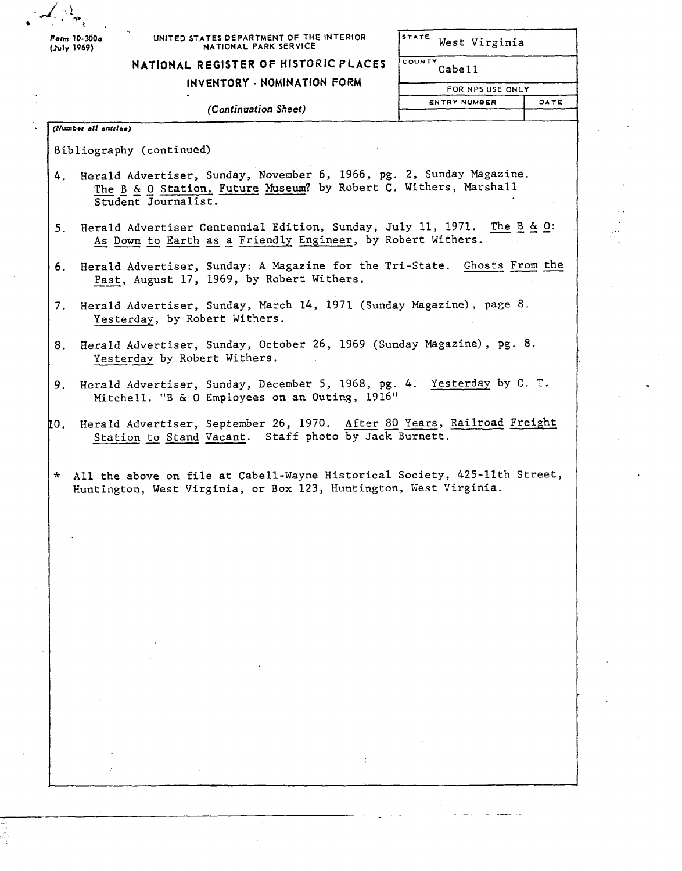| orm 10-300a | UNITED STATES DEPARTMENT OF THE INTERIOR | ISTATE West Virginia |
|-------------|------------------------------------------|----------------------|
| tuly 1969)  | NATIONAL PARK SERVICE                    |                      |

| TATE |  | West Virginia |
|------|--|---------------|
|------|--|---------------|

COUNTY

**NATIONAL REGISTER OF HISTORIC PLACES** 

## **INVENTORY** - **NOMINATION FORM**

### **(Continuation Sheet)**

| .<br>Cabe11         |      |  |  |  |
|---------------------|------|--|--|--|
| FOR NPS USE ONLY    |      |  |  |  |
| <b>ENTRY NUMBER</b> | DATE |  |  |  |
|                     |      |  |  |  |

| (Number all entries) |  |
|----------------------|--|
|                      |  |

Form **10-300a**<br>(July 1969)

Bibliography (continued)

- . Herald Advertiser, Sunday, November 6, 1966, pg. 2, Sunday Magazine. The B & O Station, Future Museum? by Robert C. Withers, Marshall Student Journalist.
- 5. Herald Advertiser Centennial Edition, Sunday, July 11, 1971. The  $\underline{B}$  &  $\underline{O}$ : rald Advertiser Centennial Edition, Sunday, July 11, 1971. In the Down to Earth as a Friendly Engineer, by Robert Withers.<br>The Past, August 17, 1969, by Robert Withers.<br>Past, August 17, 1969, by Robert Withers.
- 6. Herald Advertiser, Sunday: A Magazine for the Tri-State. Ghosts From the
- 7. Herald Advertiser, Sunday, March 14, 1971 (Sunday Magazine), page 8. Yesterday, by Robert Withers.
- **9.** Herald Advertiser, Sunday, October 26, 1969 (Sunday Magazine), pg. 8. Yesterday by Robert Withers.
- 9. Herald Advertiser, Sunday, December 5, 1968, pg. 4. Yesterday by C. T. Mitchell. "B & 0 Employees on an Outing, 1916"
- 10. Herald Advertiser, September 26, 1970. After 80 Years, Railroad Freight Station to Stand Vacant. Staff photo by Jack Burnett.
- All the above on file at Cabell-Wayne Historical Society, 425-11th Street, Huntington, West Virginia, or Box 123, Huntington, West Virginia.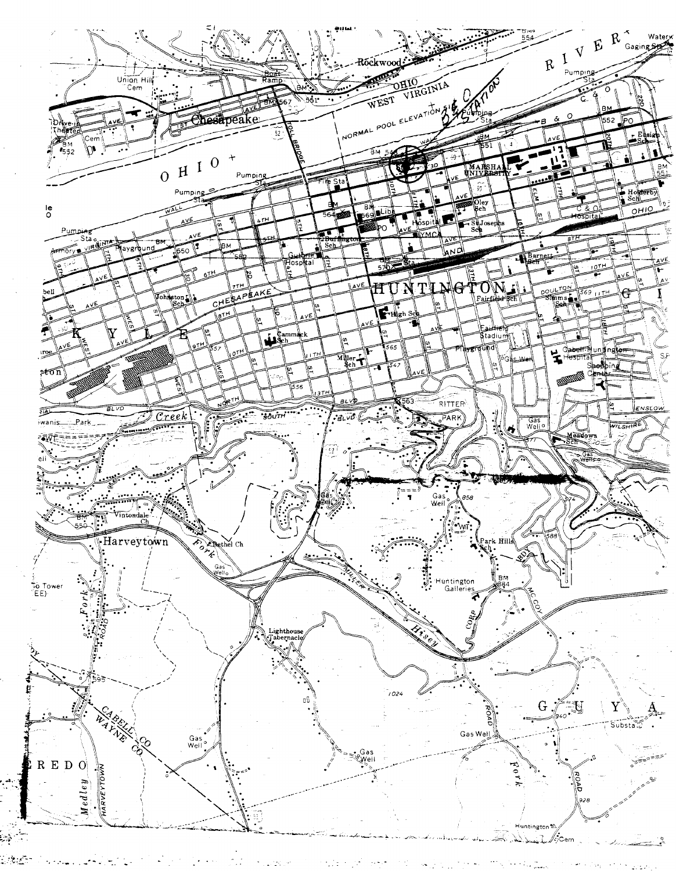